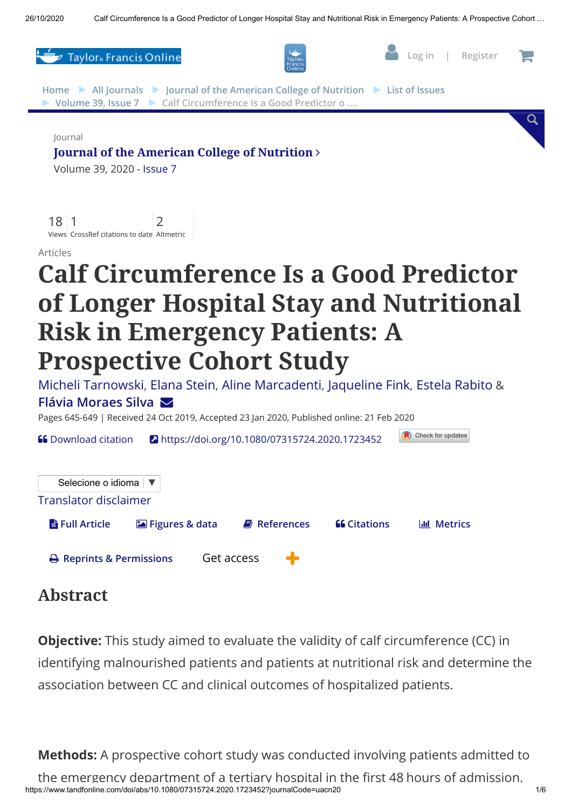

## Abstract

**Objective:** This study aimed to evaluate the validity of calf circumference (CC) in identifying malnourished patients and patients at nutritional risk and determine the association between CC and clinical outcomes of hospitalized patients.

**Methods:** A prospective cohort study was conducted involving patients admitted to

https://www.tandfonline.com/doi/abs/10.1080/07315724.2020.1723452?journalCode=uacn20 1/6 the emergency department of a tertiary hospital in the first 48 hours of admission.